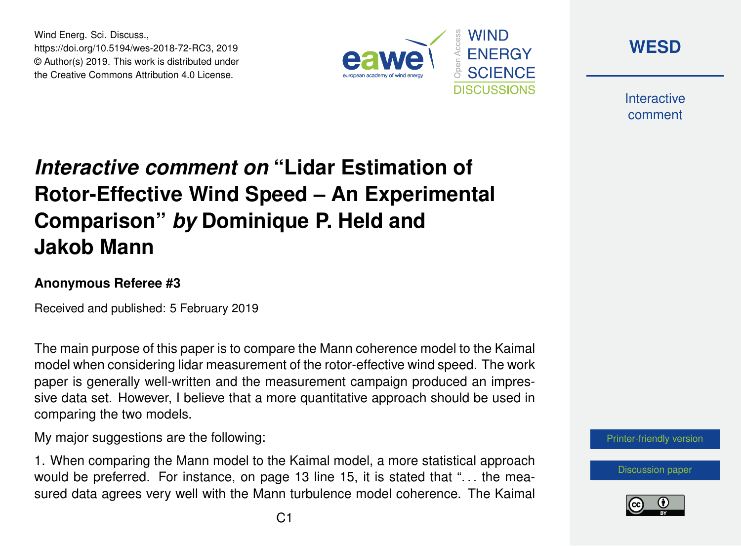Wind Energ. Sci. Discuss., https://doi.org/10.5194/wes-2018-72-RC3, 2019 © Author(s) 2019. This work is distributed under the Creative Commons Attribution 4.0 License.





**Interactive** comment

## *Interactive comment on* **"Lidar Estimation of Rotor-Effective Wind Speed – An Experimental Comparison"** *by* **Dominique P. Held and Jakob Mann**

## **Anonymous Referee #3**

Received and published: 5 February 2019

The main purpose of this paper is to compare the Mann coherence model to the Kaimal model when considering lidar measurement of the rotor-effective wind speed. The work paper is generally well-written and the measurement campaign produced an impressive data set. However, I believe that a more quantitative approach should be used in comparing the two models.

My major suggestions are the following:

1. When comparing the Mann model to the Kaimal model, a more statistical approach would be preferred. For instance, on page 13 line 15, it is stated that "... the measured data agrees very well with the Mann turbulence model coherence. The Kaimal



[Discussion paper](https://www.wind-energ-sci-discuss.net/wes-2018-72)

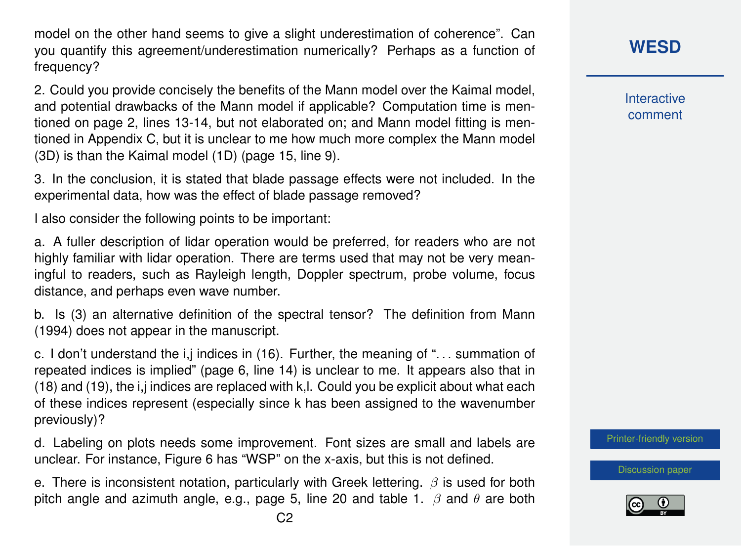model on the other hand seems to give a slight underestimation of coherence". Can you quantify this agreement/underestimation numerically? Perhaps as a function of frequency?

2. Could you provide concisely the benefits of the Mann model over the Kaimal model, and potential drawbacks of the Mann model if applicable? Computation time is mentioned on page 2, lines 13-14, but not elaborated on; and Mann model fitting is mentioned in Appendix C, but it is unclear to me how much more complex the Mann model (3D) is than the Kaimal model (1D) (page 15, line 9).

3. In the conclusion, it is stated that blade passage effects were not included. In the experimental data, how was the effect of blade passage removed?

I also consider the following points to be important:

a. A fuller description of lidar operation would be preferred, for readers who are not highly familiar with lidar operation. There are terms used that may not be very meaningful to readers, such as Rayleigh length, Doppler spectrum, probe volume, focus distance, and perhaps even wave number.

b. Is (3) an alternative definition of the spectral tensor? The definition from Mann (1994) does not appear in the manuscript.

c. I don't understand the  $i,j$  indices in (16). Further, the meaning of " $\dots$  summation of repeated indices is implied" (page 6, line 14) is unclear to me. It appears also that in (18) and (19), the i,j indices are replaced with k,l. Could you be explicit about what each of these indices represent (especially since k has been assigned to the wavenumber previously)?

d. Labeling on plots needs some improvement. Font sizes are small and labels are unclear. For instance, Figure 6 has "WSP" on the x-axis, but this is not defined.

e. There is inconsistent notation, particularly with Greek lettering.  $\beta$  is used for both pitch angle and azimuth angle, e.g., page 5, line 20 and table 1.  $\beta$  and  $\theta$  are both **[WESD](https://www.wind-energ-sci-discuss.net/)**

**Interactive** comment

[Printer-friendly version](https://www.wind-energ-sci-discuss.net/wes-2018-72/wes-2018-72-RC3-print.pdf)

[Discussion paper](https://www.wind-energ-sci-discuss.net/wes-2018-72)